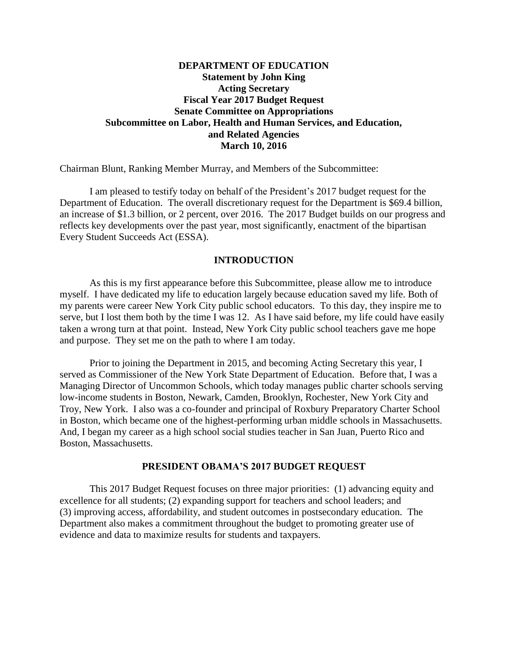# **DEPARTMENT OF EDUCATION Statement by John King Acting Secretary Fiscal Year 2017 Budget Request Senate Committee on Appropriations Subcommittee on Labor, Health and Human Services, and Education, and Related Agencies March 10, 2016**

Chairman Blunt, Ranking Member Murray, and Members of the Subcommittee:

I am pleased to testify today on behalf of the President's 2017 budget request for the Department of Education. The overall discretionary request for the Department is \$69.4 billion, an increase of \$1.3 billion, or 2 percent, over 2016. The 2017 Budget builds on our progress and reflects key developments over the past year, most significantly, enactment of the bipartisan Every Student Succeeds Act (ESSA).

#### **INTRODUCTION**

As this is my first appearance before this Subcommittee, please allow me to introduce myself. I have dedicated my life to education largely because education saved my life. Both of my parents were career New York City public school educators. To this day, they inspire me to serve, but I lost them both by the time I was 12. As I have said before, my life could have easily taken a wrong turn at that point. Instead, New York City public school teachers gave me hope and purpose. They set me on the path to where I am today.

Prior to joining the Department in 2015, and becoming Acting Secretary this year, I served as Commissioner of the New York State Department of Education. Before that, I was a Managing Director of Uncommon Schools, which today manages public charter schools serving low-income students in Boston, Newark, Camden, Brooklyn, Rochester, New York City and Troy, New York. I also was a co-founder and principal of Roxbury Preparatory Charter School in Boston, which became one of the highest-performing urban middle schools in Massachusetts. And, I began my career as a high school social studies teacher in San Juan, Puerto Rico and Boston, Massachusetts.

#### **PRESIDENT OBAMA'S 2017 BUDGET REQUEST**

This 2017 Budget Request focuses on three major priorities: (1) advancing equity and excellence for all students; (2) expanding support for teachers and school leaders; and (3) improving access, affordability, and student outcomes in postsecondary education. The Department also makes a commitment throughout the budget to promoting greater use of evidence and data to maximize results for students and taxpayers.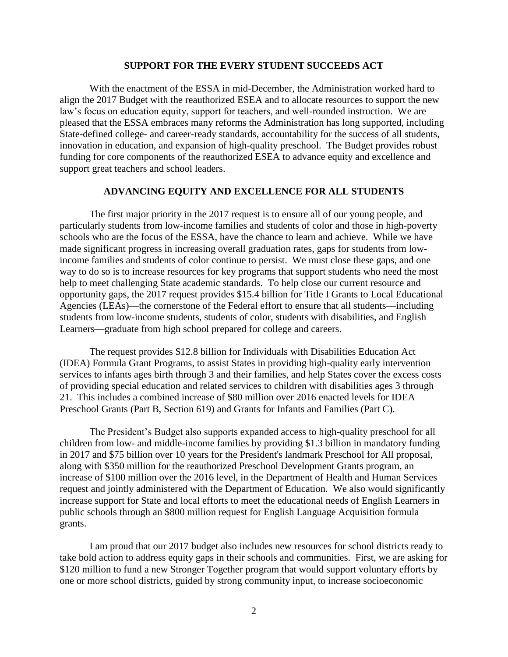#### **SUPPORT FOR THE EVERY STUDENT SUCCEEDS ACT**

With the enactment of the ESSA in mid-December, the Administration worked hard to align the 2017 Budget with the reauthorized ESEA and to allocate resources to support the new law's focus on education equity, support for teachers, and well-rounded instruction. We are pleased that the ESSA embraces many reforms the Administration has long supported, including State-defined college- and career-ready standards, accountability for the success of all students, innovation in education, and expansion of high-quality preschool. The Budget provides robust funding for core components of the reauthorized ESEA to advance equity and excellence and support great teachers and school leaders.

## **ADVANCING EQUITY AND EXCELLENCE FOR ALL STUDENTS**

The first major priority in the 2017 request is to ensure all of our young people, and particularly students from low-income families and students of color and those in high-poverty schools who are the focus of the ESSA, have the chance to learn and achieve. While we have made significant progress in increasing overall graduation rates, gaps for students from lowincome families and students of color continue to persist. We must close these gaps, and one way to do so is to increase resources for key programs that support students who need the most help to meet challenging State academic standards. To help close our current resource and opportunity gaps, the 2017 request provides \$15.4 billion for Title I Grants to Local Educational Agencies (LEAs)—the cornerstone of the Federal effort to ensure that all students—including students from low-income students, students of color, students with disabilities, and English Learners—graduate from high school prepared for college and careers.

The request provides \$12.8 billion for Individuals with Disabilities Education Act (IDEA) Formula Grant Programs, to assist States in providing high-quality early intervention services to infants ages birth through 3 and their families, and help States cover the excess costs of providing special education and related services to children with disabilities ages 3 through 21. This includes a combined increase of \$80 million over 2016 enacted levels for IDEA Preschool Grants (Part B, Section 619) and Grants for Infants and Families (Part C).

The President's Budget also supports expanded access to high-quality preschool for all children from low- and middle-income families by providing \$1.3 billion in mandatory funding in 2017 and \$75 billion over 10 years for the President's landmark Preschool for All proposal, along with \$350 million for the reauthorized Preschool Development Grants program, an increase of \$100 million over the 2016 level, in the Department of Health and Human Services request and jointly administered with the Department of Education. We also would significantly increase support for State and local efforts to meet the educational needs of English Learners in public schools through an \$800 million request for English Language Acquisition formula grants.

I am proud that our 2017 budget also includes new resources for school districts ready to take bold action to address equity gaps in their schools and communities. First, we are asking for \$120 million to fund a new Stronger Together program that would support voluntary efforts by one or more school districts, guided by strong community input, to increase socioeconomic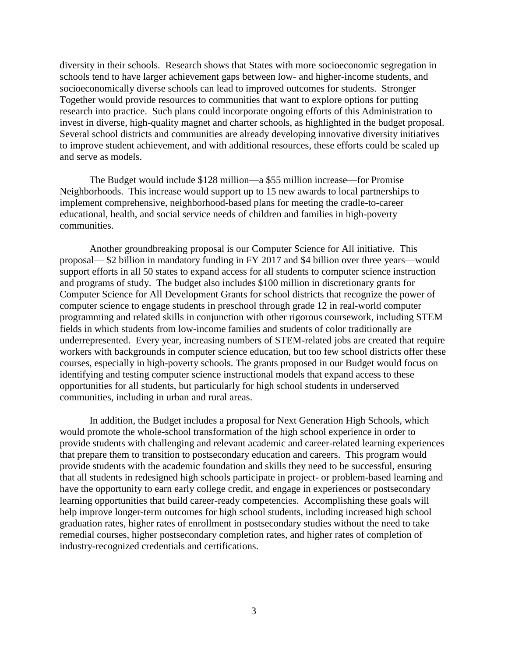diversity in their schools. Research shows that States with more socioeconomic segregation in schools tend to have larger achievement gaps between low- and higher-income students, and socioeconomically diverse schools can lead to improved outcomes for students. Stronger Together would provide resources to communities that want to explore options for putting research into practice. Such plans could incorporate ongoing efforts of this Administration to invest in diverse, high-quality magnet and charter schools, as highlighted in the budget proposal. Several school districts and communities are already developing innovative diversity initiatives to improve student achievement, and with additional resources, these efforts could be scaled up and serve as models.

The Budget would include \$128 million—a \$55 million increase—for Promise Neighborhoods. This increase would support up to 15 new awards to local partnerships to implement comprehensive, neighborhood-based plans for meeting the cradle-to-career educational, health, and social service needs of children and families in high-poverty communities.

Another groundbreaking proposal is our Computer Science for All initiative. This proposal— \$2 billion in mandatory funding in FY 2017 and \$4 billion over three years—would support efforts in all 50 states to expand access for all students to computer science instruction and programs of study. The budget also includes \$100 million in discretionary grants for Computer Science for All Development Grants for school districts that recognize the power of computer science to engage students in preschool through grade 12 in real-world computer programming and related skills in conjunction with other rigorous coursework, including STEM fields in which students from low-income families and students of color traditionally are underrepresented. Every year, increasing numbers of STEM-related jobs are created that require workers with backgrounds in computer science education, but too few school districts offer these courses, especially in high-poverty schools. The grants proposed in our Budget would focus on identifying and testing computer science instructional models that expand access to these opportunities for all students, but particularly for high school students in underserved communities, including in urban and rural areas.

In addition, the Budget includes a proposal for Next Generation High Schools, which would promote the whole-school transformation of the high school experience in order to provide students with challenging and relevant academic and career-related learning experiences that prepare them to transition to postsecondary education and careers. This program would provide students with the academic foundation and skills they need to be successful, ensuring that all students in redesigned high schools participate in project- or problem-based learning and have the opportunity to earn early college credit, and engage in experiences or postsecondary learning opportunities that build career-ready competencies. Accomplishing these goals will help improve longer-term outcomes for high school students, including increased high school graduation rates, higher rates of enrollment in postsecondary studies without the need to take remedial courses, higher postsecondary completion rates, and higher rates of completion of industry-recognized credentials and certifications.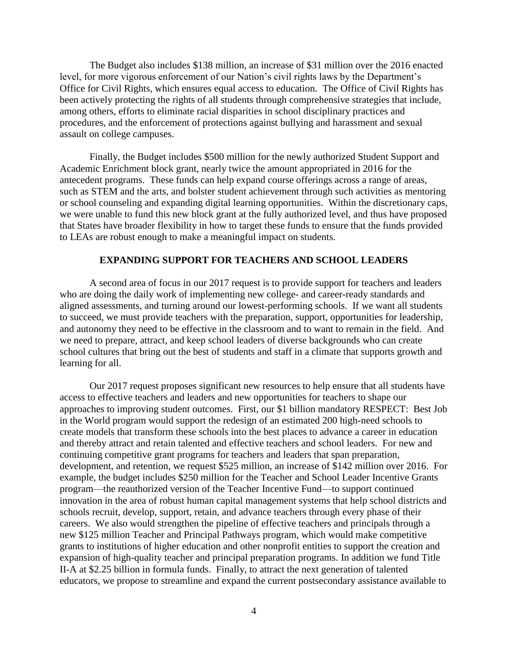The Budget also includes \$138 million, an increase of \$31 million over the 2016 enacted level, for more vigorous enforcement of our Nation's civil rights laws by the Department's Office for Civil Rights, which ensures equal access to education. The Office of Civil Rights has been actively protecting the rights of all students through comprehensive strategies that include, among others, efforts to eliminate racial disparities in school disciplinary practices and procedures, and the enforcement of protections against bullying and harassment and sexual assault on college campuses.

Finally, the Budget includes \$500 million for the newly authorized Student Support and Academic Enrichment block grant, nearly twice the amount appropriated in 2016 for the antecedent programs. These funds can help expand course offerings across a range of areas, such as STEM and the arts, and bolster student achievement through such activities as mentoring or school counseling and expanding digital learning opportunities. Within the discretionary caps, we were unable to fund this new block grant at the fully authorized level, and thus have proposed that States have broader flexibility in how to target these funds to ensure that the funds provided to LEAs are robust enough to make a meaningful impact on students.

## **EXPANDING SUPPORT FOR TEACHERS AND SCHOOL LEADERS**

A second area of focus in our 2017 request is to provide support for teachers and leaders who are doing the daily work of implementing new college- and career-ready standards and aligned assessments, and turning around our lowest-performing schools. If we want all students to succeed, we must provide teachers with the preparation, support, opportunities for leadership, and autonomy they need to be effective in the classroom and to want to remain in the field. And we need to prepare, attract, and keep school leaders of diverse backgrounds who can create school cultures that bring out the best of students and staff in a climate that supports growth and learning for all.

Our 2017 request proposes significant new resources to help ensure that all students have access to effective teachers and leaders and new opportunities for teachers to shape our approaches to improving student outcomes. First, our \$1 billion mandatory RESPECT: Best Job in the World program would support the redesign of an estimated 200 high-need schools to create models that transform these schools into the best places to advance a career in education and thereby attract and retain talented and effective teachers and school leaders. For new and continuing competitive grant programs for teachers and leaders that span preparation, development, and retention, we request \$525 million, an increase of \$142 million over 2016. For example, the budget includes \$250 million for the Teacher and School Leader Incentive Grants program—the reauthorized version of the Teacher Incentive Fund—to support continued innovation in the area of robust human capital management systems that help school districts and schools recruit, develop, support, retain, and advance teachers through every phase of their careers. We also would strengthen the pipeline of effective teachers and principals through a new \$125 million Teacher and Principal Pathways program, which would make competitive grants to institutions of higher education and other nonprofit entities to support the creation and expansion of high-quality teacher and principal preparation programs. In addition we fund Title II-A at \$2.25 billion in formula funds. Finally, to attract the next generation of talented educators, we propose to streamline and expand the current postsecondary assistance available to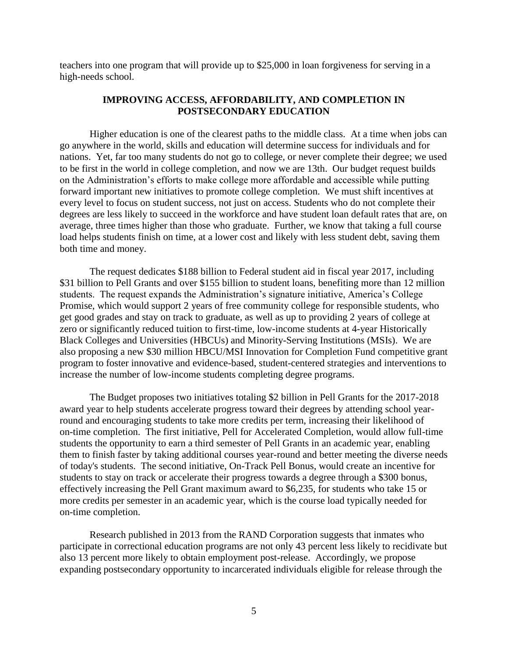teachers into one program that will provide up to \$25,000 in loan forgiveness for serving in a high-needs school.

#### **IMPROVING ACCESS, AFFORDABILITY, AND COMPLETION IN POSTSECONDARY EDUCATION**

Higher education is one of the clearest paths to the middle class. At a time when jobs can go anywhere in the world, skills and education will determine success for individuals and for nations. Yet, far too many students do not go to college, or never complete their degree; we used to be first in the world in college completion, and now we are 13th. Our budget request builds on the Administration's efforts to make college more affordable and accessible while putting forward important new initiatives to promote college completion. We must shift incentives at every level to focus on student success, not just on access. Students who do not complete their degrees are less likely to succeed in the workforce and have student loan default rates that are, on average, three times higher than those who graduate. Further, we know that taking a full course load helps students finish on time, at a lower cost and likely with less student debt, saving them both time and money.

The request dedicates \$188 billion to Federal student aid in fiscal year 2017, including \$31 billion to Pell Grants and over \$155 billion to student loans, benefiting more than 12 million students. The request expands the Administration's signature initiative, America's College Promise, which would support 2 years of free community college for responsible students, who get good grades and stay on track to graduate, as well as up to providing 2 years of college at zero or significantly reduced tuition to first-time, low-income students at 4-year Historically Black Colleges and Universities (HBCUs) and Minority-Serving Institutions (MSIs). We are also proposing a new \$30 million HBCU/MSI Innovation for Completion Fund competitive grant program to foster innovative and evidence-based, student-centered strategies and interventions to increase the number of low-income students completing degree programs.

The Budget proposes two initiatives totaling \$2 billion in Pell Grants for the 2017-2018 award year to help students accelerate progress toward their degrees by attending school yearround and encouraging students to take more credits per term, increasing their likelihood of on-time completion. The first initiative, Pell for Accelerated Completion, would allow full-time students the opportunity to earn a third semester of Pell Grants in an academic year, enabling them to finish faster by taking additional courses year-round and better meeting the diverse needs of today's students. The second initiative, On-Track Pell Bonus, would create an incentive for students to stay on track or accelerate their progress towards a degree through a \$300 bonus, effectively increasing the Pell Grant maximum award to \$6,235, for students who take 15 or more credits per semester in an academic year, which is the course load typically needed for on-time completion.

Research published in 2013 from the RAND Corporation suggests that inmates who participate in correctional education programs are not only 43 percent less likely to recidivate but also 13 percent more likely to obtain employment post-release. Accordingly, we propose expanding postsecondary opportunity to incarcerated individuals eligible for release through the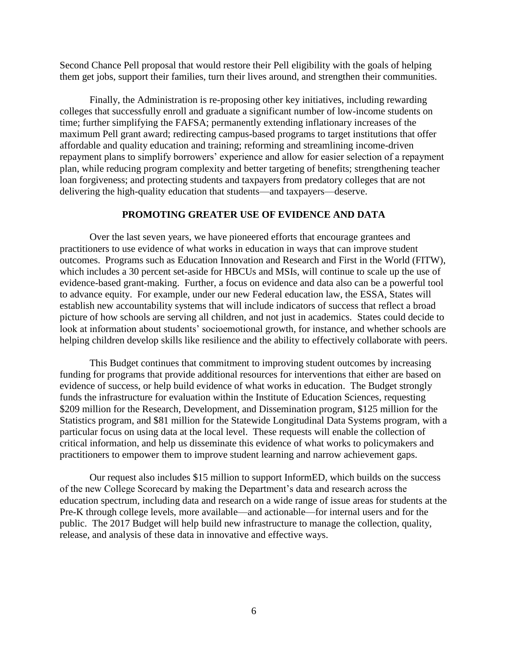Second Chance Pell proposal that would restore their Pell eligibility with the goals of helping them get jobs, support their families, turn their lives around, and strengthen their communities.

Finally, the Administration is re-proposing other key initiatives, including rewarding colleges that successfully enroll and graduate a significant number of low-income students on time; further simplifying the FAFSA; permanently extending inflationary increases of the maximum Pell grant award; redirecting campus-based programs to target institutions that offer affordable and quality education and training; reforming and streamlining income-driven repayment plans to simplify borrowers' experience and allow for easier selection of a repayment plan, while reducing program complexity and better targeting of benefits; strengthening teacher loan forgiveness; and protecting students and taxpayers from predatory colleges that are not delivering the high-quality education that students—and taxpayers—deserve.

## **PROMOTING GREATER USE OF EVIDENCE AND DATA**

Over the last seven years, we have pioneered efforts that encourage grantees and practitioners to use evidence of what works in education in ways that can improve student outcomes. Programs such as Education Innovation and Research and First in the World (FITW), which includes a 30 percent set-aside for HBCUs and MSIs, will continue to scale up the use of evidence-based grant-making. Further, a focus on evidence and data also can be a powerful tool to advance equity. For example, under our new Federal education law, the ESSA, States will establish new accountability systems that will include indicators of success that reflect a broad picture of how schools are serving all children, and not just in academics. States could decide to look at information about students' socioemotional growth, for instance, and whether schools are helping children develop skills like resilience and the ability to effectively collaborate with peers.

This Budget continues that commitment to improving student outcomes by increasing funding for programs that provide additional resources for interventions that either are based on evidence of success, or help build evidence of what works in education. The Budget strongly funds the infrastructure for evaluation within the Institute of Education Sciences, requesting \$209 million for the Research, Development, and Dissemination program, \$125 million for the Statistics program, and \$81 million for the Statewide Longitudinal Data Systems program, with a particular focus on using data at the local level. These requests will enable the collection of critical information, and help us disseminate this evidence of what works to policymakers and practitioners to empower them to improve student learning and narrow achievement gaps.

Our request also includes \$15 million to support InformED, which builds on the success of the new College Scorecard by making the Department's data and research across the education spectrum, including data and research on a wide range of issue areas for students at the Pre-K through college levels, more available—and actionable—for internal users and for the public. The 2017 Budget will help build new infrastructure to manage the collection, quality, release, and analysis of these data in innovative and effective ways.